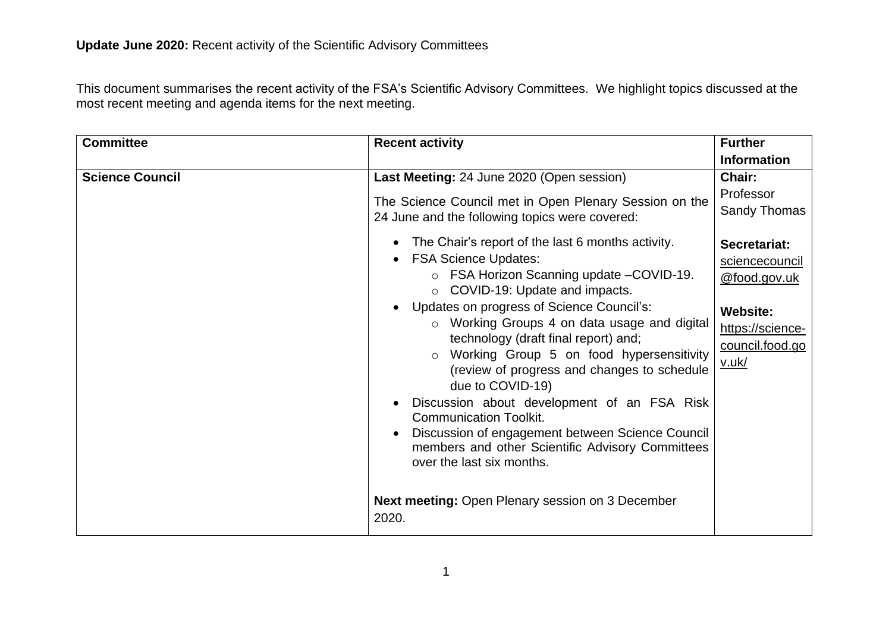This document summarises the recent activity of the FSA's Scientific Advisory Committees. We highlight topics discussed at the most recent meeting and agenda items for the next meeting.

| <b>Committee</b>       | <b>Recent activity</b>                                                                                                                                                                                                                                                                                                                                                                                                                                                                                                                                                                                                                                                                                                                                                                                                                                                                                         | <b>Further</b>                                                                                                                                                  |
|------------------------|----------------------------------------------------------------------------------------------------------------------------------------------------------------------------------------------------------------------------------------------------------------------------------------------------------------------------------------------------------------------------------------------------------------------------------------------------------------------------------------------------------------------------------------------------------------------------------------------------------------------------------------------------------------------------------------------------------------------------------------------------------------------------------------------------------------------------------------------------------------------------------------------------------------|-----------------------------------------------------------------------------------------------------------------------------------------------------------------|
|                        |                                                                                                                                                                                                                                                                                                                                                                                                                                                                                                                                                                                                                                                                                                                                                                                                                                                                                                                | <b>Information</b>                                                                                                                                              |
| <b>Science Council</b> | Last Meeting: 24 June 2020 (Open session)<br>The Science Council met in Open Plenary Session on the<br>24 June and the following topics were covered:<br>The Chair's report of the last 6 months activity.<br>$\bullet$<br><b>FSA Science Updates:</b><br>FSA Horizon Scanning update -COVID-19.<br>$\circ$<br>○ COVID-19: Update and impacts.<br>Updates on progress of Science Council's:<br>$\bullet$<br>o Working Groups 4 on data usage and digital<br>technology (draft final report) and;<br>Working Group 5 on food hypersensitivity<br>(review of progress and changes to schedule<br>due to COVID-19)<br>Discussion about development of an FSA Risk<br><b>Communication Toolkit.</b><br>Discussion of engagement between Science Council<br>$\bullet$<br>members and other Scientific Advisory Committees<br>over the last six months.<br>Next meeting: Open Plenary session on 3 December<br>2020. | Chair:<br>Professor<br><b>Sandy Thomas</b><br>Secretariat:<br>sciencecouncil<br>@food.gov.uk<br><b>Website:</b><br>https://science-<br>council.food.go<br>v.uk/ |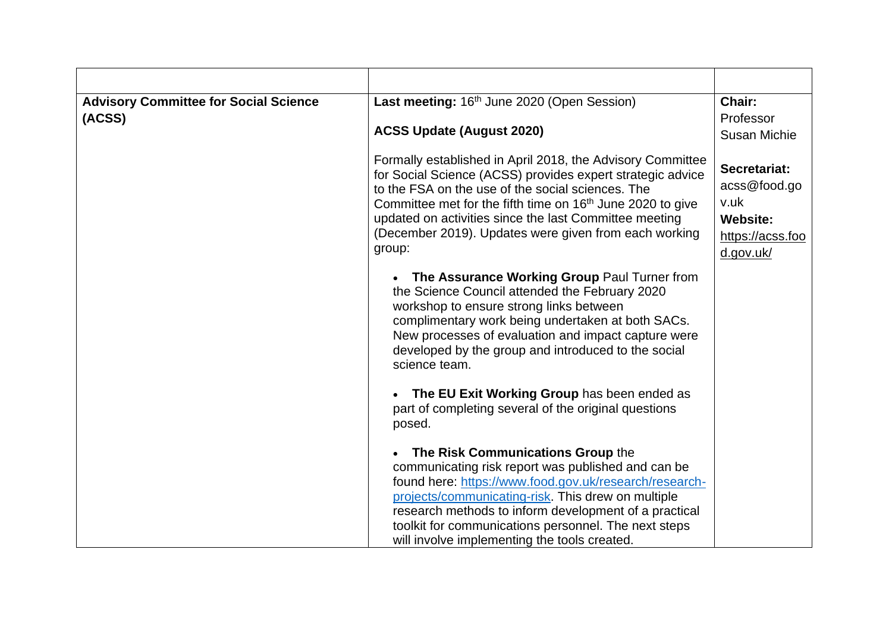| <b>Advisory Committee for Social Science</b> | Last meeting: 16th June 2020 (Open Session)                                                                                                                                                                                                                                                                                                                                          | Chair:                                                                                   |
|----------------------------------------------|--------------------------------------------------------------------------------------------------------------------------------------------------------------------------------------------------------------------------------------------------------------------------------------------------------------------------------------------------------------------------------------|------------------------------------------------------------------------------------------|
| (ACSS)                                       | <b>ACSS Update (August 2020)</b>                                                                                                                                                                                                                                                                                                                                                     | Professor<br><b>Susan Michie</b>                                                         |
|                                              | Formally established in April 2018, the Advisory Committee<br>for Social Science (ACSS) provides expert strategic advice<br>to the FSA on the use of the social sciences. The<br>Committee met for the fifth time on 16 <sup>th</sup> June 2020 to give<br>updated on activities since the last Committee meeting<br>(December 2019). Updates were given from each working<br>group: | Secretariat:<br>acss@food.go<br>v.uk<br><b>Website:</b><br>https://acss.foo<br>d.gov.uk/ |
|                                              | • The Assurance Working Group Paul Turner from<br>the Science Council attended the February 2020<br>workshop to ensure strong links between<br>complimentary work being undertaken at both SACs.<br>New processes of evaluation and impact capture were<br>developed by the group and introduced to the social<br>science team.                                                      |                                                                                          |
|                                              | The EU Exit Working Group has been ended as<br>part of completing several of the original questions<br>posed.                                                                                                                                                                                                                                                                        |                                                                                          |
|                                              | The Risk Communications Group the<br>communicating risk report was published and can be<br>found here: https://www.food.gov.uk/research/research-<br>projects/communicating-risk. This drew on multiple<br>research methods to inform development of a practical<br>toolkit for communications personnel. The next steps<br>will involve implementing the tools created.             |                                                                                          |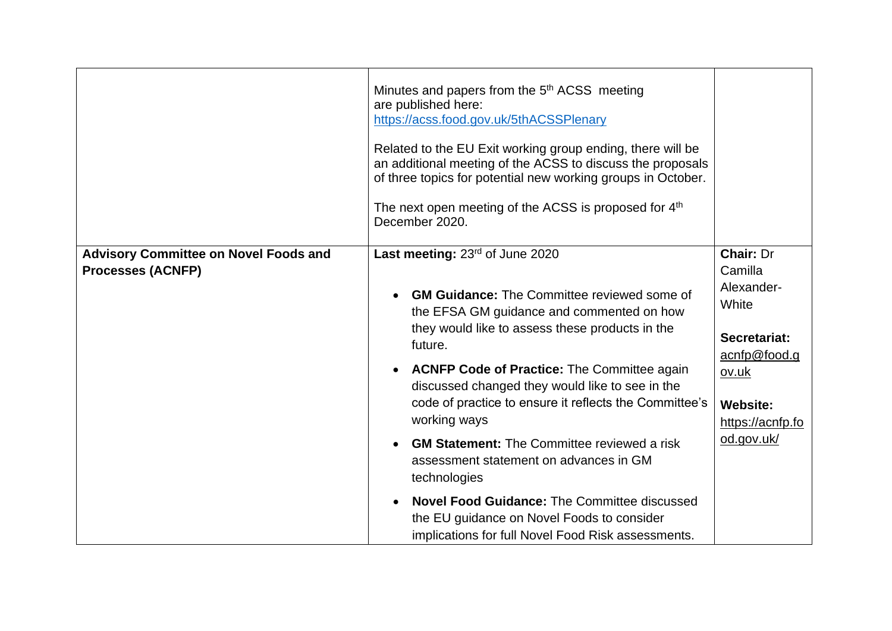|                                                                          | Minutes and papers from the 5 <sup>th</sup> ACSS meeting<br>are published here:<br>https://acss.food.gov.uk/5thACSSPlenary<br>Related to the EU Exit working group ending, there will be<br>an additional meeting of the ACSS to discuss the proposals<br>of three topics for potential new working groups in October.<br>The next open meeting of the ACSS is proposed for 4 <sup>th</sup><br>December 2020.                                                                                                                                                                                                                                                                            |                                                                                                                                           |
|--------------------------------------------------------------------------|------------------------------------------------------------------------------------------------------------------------------------------------------------------------------------------------------------------------------------------------------------------------------------------------------------------------------------------------------------------------------------------------------------------------------------------------------------------------------------------------------------------------------------------------------------------------------------------------------------------------------------------------------------------------------------------|-------------------------------------------------------------------------------------------------------------------------------------------|
| <b>Advisory Committee on Novel Foods and</b><br><b>Processes (ACNFP)</b> | Last meeting: 23rd of June 2020<br><b>GM Guidance:</b> The Committee reviewed some of<br>$\bullet$<br>the EFSA GM guidance and commented on how<br>they would like to assess these products in the<br>future.<br><b>ACNFP Code of Practice: The Committee again</b><br>$\bullet$<br>discussed changed they would like to see in the<br>code of practice to ensure it reflects the Committee's<br>working ways<br><b>GM Statement:</b> The Committee reviewed a risk<br>assessment statement on advances in GM<br>technologies<br><b>Novel Food Guidance: The Committee discussed</b><br>the EU guidance on Novel Foods to consider<br>implications for full Novel Food Risk assessments. | Chair: Dr<br>Camilla<br>Alexander-<br>White<br>Secretariat:<br>acnfp@food.g<br>ov.uk<br><b>Website:</b><br>https://acnfp.fo<br>od.gov.uk/ |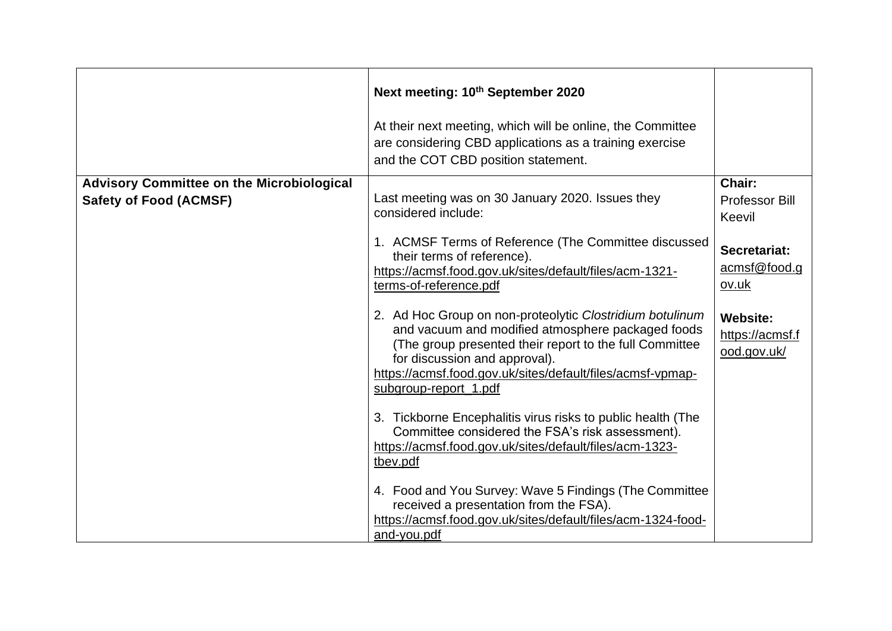|                                                                                   | Next meeting: 10 <sup>th</sup> September 2020<br>At their next meeting, which will be online, the Committee<br>are considering CBD applications as a training exercise<br>and the COT CBD position statement.                                                                                                                                                                                                                                                                                                                                                                                                                                                                                                                                                                                                                                                                                                                       |                                                                                                                                         |
|-----------------------------------------------------------------------------------|-------------------------------------------------------------------------------------------------------------------------------------------------------------------------------------------------------------------------------------------------------------------------------------------------------------------------------------------------------------------------------------------------------------------------------------------------------------------------------------------------------------------------------------------------------------------------------------------------------------------------------------------------------------------------------------------------------------------------------------------------------------------------------------------------------------------------------------------------------------------------------------------------------------------------------------|-----------------------------------------------------------------------------------------------------------------------------------------|
| <b>Advisory Committee on the Microbiological</b><br><b>Safety of Food (ACMSF)</b> | Last meeting was on 30 January 2020. Issues they<br>considered include:<br>1. ACMSF Terms of Reference (The Committee discussed<br>their terms of reference).<br>https://acmsf.food.gov.uk/sites/default/files/acm-1321-<br>terms-of-reference.pdf<br>2. Ad Hoc Group on non-proteolytic Clostridium botulinum<br>and vacuum and modified atmosphere packaged foods<br>(The group presented their report to the full Committee<br>for discussion and approval).<br>https://acmsf.food.gov.uk/sites/default/files/acmsf-vpmap-<br>subgroup-report_1.pdf<br>3. Tickborne Encephalitis virus risks to public health (The<br>Committee considered the FSA's risk assessment).<br>https://acmsf.food.gov.uk/sites/default/files/acm-1323-<br>tbev.pdf<br>4. Food and You Survey: Wave 5 Findings (The Committee<br>received a presentation from the FSA).<br>https://acmsf.food.gov.uk/sites/default/files/acm-1324-food-<br>and-you.pdf | Chair:<br><b>Professor Bill</b><br>Keevil<br>Secretariat:<br>acmsf@food.g<br>ov.uk<br><b>Website:</b><br>https://acmsf.f<br>ood.gov.uk/ |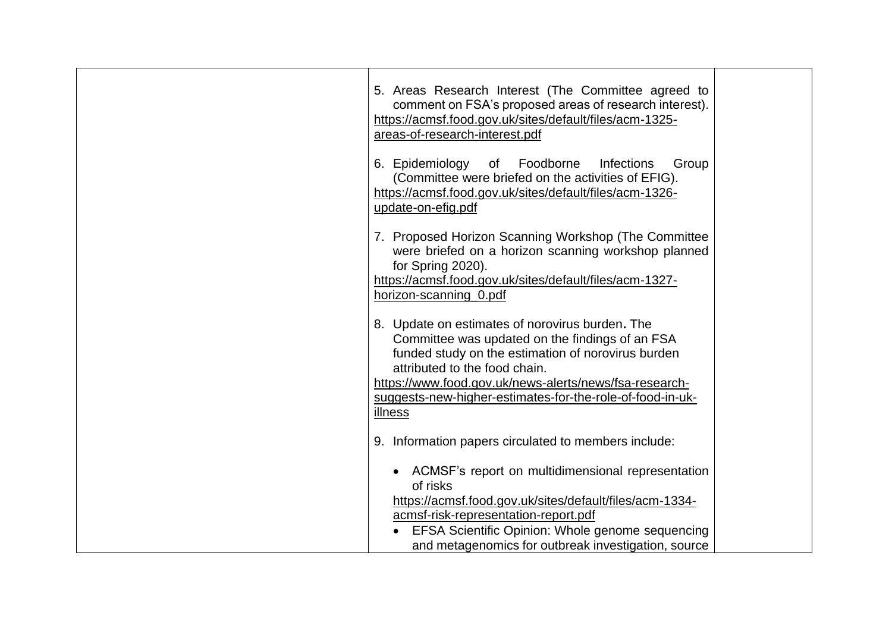| comment on FSA's proposed areas of research interest).<br>https://acmsf.food.gov.uk/sites/default/files/acm-1325-<br>areas-of-research-interest.pdf                                                                                                                                                                         |  |
|-----------------------------------------------------------------------------------------------------------------------------------------------------------------------------------------------------------------------------------------------------------------------------------------------------------------------------|--|
| 6. Epidemiology of Foodborne<br>Infections<br>Group<br>(Committee were briefed on the activities of EFIG).<br>https://acmsf.food.gov.uk/sites/default/files/acm-1326-<br>update-on-efig.pdf                                                                                                                                 |  |
| 7. Proposed Horizon Scanning Workshop (The Committee<br>were briefed on a horizon scanning workshop planned<br>for Spring 2020).<br>https://acmsf.food.gov.uk/sites/default/files/acm-1327-<br>horizon-scanning 0.pdf                                                                                                       |  |
| 8. Update on estimates of norovirus burden. The<br>Committee was updated on the findings of an FSA<br>funded study on the estimation of norovirus burden<br>attributed to the food chain.<br>https://www.food.gov.uk/news-alerts/news/fsa-research-<br>suggests-new-higher-estimates-for-the-role-of-food-in-uk-<br>illness |  |
| 9. Information papers circulated to members include:<br>• ACMSF's report on multidimensional representation<br>of risks<br>https://acmsf.food.gov.uk/sites/default/files/acm-1334-<br>acmsf-risk-representation-report.pdf<br>EFSA Scientific Opinion: Whole genome sequencing                                              |  |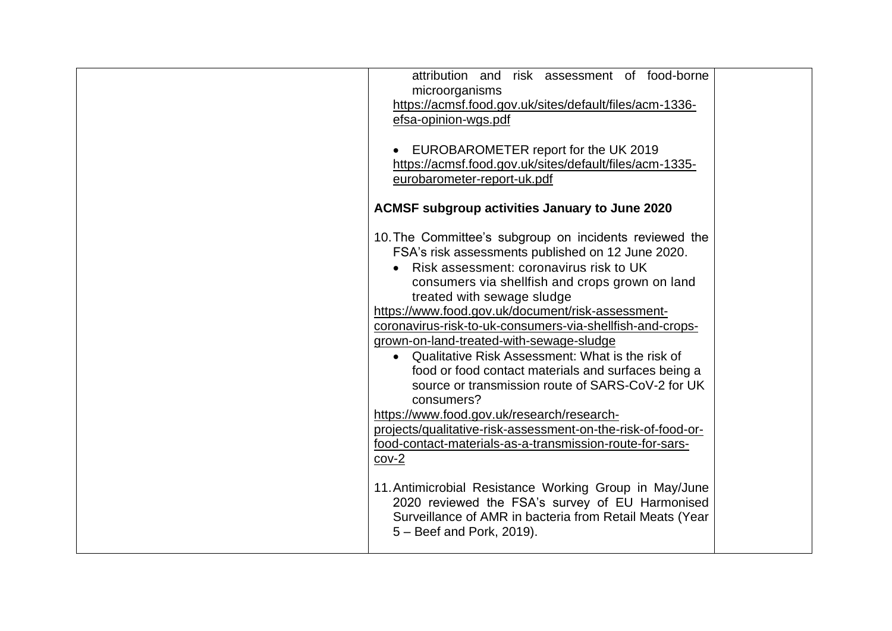| attribution and risk assessment of food-borne<br>microorganisms |  |
|-----------------------------------------------------------------|--|
| https://acmsf.food.gov.uk/sites/default/files/acm-1336-         |  |
| efsa-opinion-wgs.pdf                                            |  |
|                                                                 |  |
| • EUROBAROMETER report for the UK 2019                          |  |
| https://acmsf.food.gov.uk/sites/default/files/acm-1335-         |  |
| eurobarometer-report-uk.pdf                                     |  |
|                                                                 |  |
| <b>ACMSF subgroup activities January to June 2020</b>           |  |
| 10. The Committee's subgroup on incidents reviewed the          |  |
| FSA's risk assessments published on 12 June 2020.               |  |
| Risk assessment: coronavirus risk to UK                         |  |
| consumers via shellfish and crops grown on land                 |  |
| treated with sewage sludge                                      |  |
| https://www.food.gov.uk/document/risk-assessment-               |  |
| coronavirus-risk-to-uk-consumers-via-shellfish-and-crops-       |  |
| grown-on-land-treated-with-sewage-sludge                        |  |
| • Qualitative Risk Assessment: What is the risk of              |  |
| food or food contact materials and surfaces being a             |  |
| source or transmission route of SARS-CoV-2 for UK               |  |
| consumers?                                                      |  |
| https://www.food.gov.uk/research/research-                      |  |
| projects/qualitative-risk-assessment-on-the-risk-of-food-or-    |  |
| food-contact-materials-as-a-transmission-route-for-sars-        |  |
| $cov-2$                                                         |  |
|                                                                 |  |
| 11. Antimicrobial Resistance Working Group in May/June          |  |
| 2020 reviewed the FSA's survey of EU Harmonised                 |  |
| Surveillance of AMR in bacteria from Retail Meats (Year         |  |
| 5 – Beef and Pork, 2019).                                       |  |
|                                                                 |  |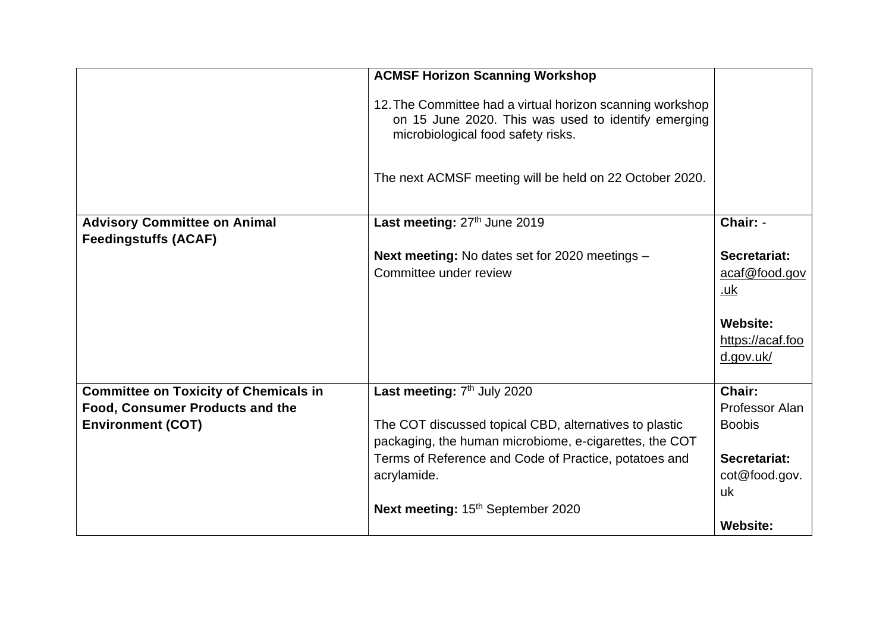|                                                                    | <b>ACMSF Horizon Scanning Workshop</b>                                                                                                                 |                                                  |
|--------------------------------------------------------------------|--------------------------------------------------------------------------------------------------------------------------------------------------------|--------------------------------------------------|
|                                                                    | 12. The Committee had a virtual horizon scanning workshop<br>on 15 June 2020. This was used to identify emerging<br>microbiological food safety risks. |                                                  |
|                                                                    | The next ACMSF meeting will be held on 22 October 2020.                                                                                                |                                                  |
| <b>Advisory Committee on Animal</b><br><b>Feedingstuffs (ACAF)</b> | Last meeting: 27th June 2019                                                                                                                           | Chair: -                                         |
|                                                                    | <b>Next meeting: No dates set for 2020 meetings -</b><br>Committee under review                                                                        | Secretariat:<br>acaf@food.gov<br><u>.uk</u>      |
|                                                                    |                                                                                                                                                        | <b>Website:</b><br>https://acaf.foo<br>d.gov.uk/ |
| <b>Committee on Toxicity of Chemicals in</b>                       | Last meeting: 7 <sup>th</sup> July 2020                                                                                                                | Chair:                                           |
| Food, Consumer Products and the                                    |                                                                                                                                                        | Professor Alan                                   |
| <b>Environment (COT)</b>                                           | The COT discussed topical CBD, alternatives to plastic<br>packaging, the human microbiome, e-cigarettes, the COT                                       | <b>Boobis</b>                                    |
|                                                                    | Terms of Reference and Code of Practice, potatoes and<br>acrylamide.                                                                                   | Secretariat:<br>cot@food.gov.<br>uk              |
|                                                                    | Next meeting: 15 <sup>th</sup> September 2020                                                                                                          |                                                  |
|                                                                    |                                                                                                                                                        | <b>Website:</b>                                  |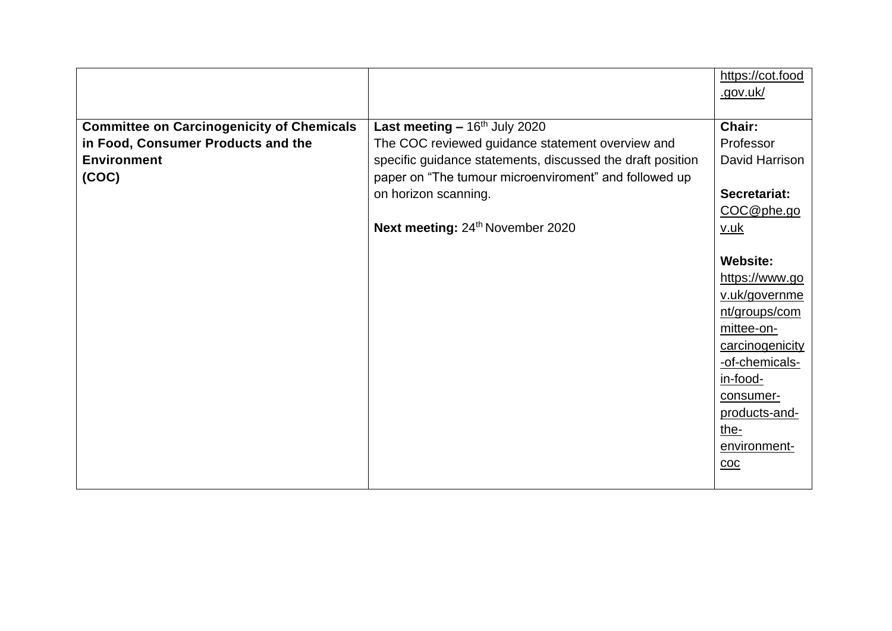|                                                  |                                                            | https://cot.food |
|--------------------------------------------------|------------------------------------------------------------|------------------|
|                                                  |                                                            | .gov.uk/         |
|                                                  |                                                            |                  |
| <b>Committee on Carcinogenicity of Chemicals</b> | Last meeting $-16th$ July 2020                             | Chair:           |
| in Food, Consumer Products and the               | The COC reviewed guidance statement overview and           | Professor        |
| <b>Environment</b>                               | specific guidance statements, discussed the draft position | David Harrison   |
| (COC)                                            | paper on "The tumour microenviroment" and followed up      |                  |
|                                                  | on horizon scanning.                                       | Secretariat:     |
|                                                  |                                                            | COC@phe.go       |
|                                                  | Next meeting: 24 <sup>th</sup> November 2020               | <u>v.uk</u>      |
|                                                  |                                                            |                  |
|                                                  |                                                            | <b>Website:</b>  |
|                                                  |                                                            | https://www.go   |
|                                                  |                                                            | v.uk/governme    |
|                                                  |                                                            | nt/groups/com    |
|                                                  |                                                            | mittee-on-       |
|                                                  |                                                            | carcinogenicity  |
|                                                  |                                                            | -of-chemicals-   |
|                                                  |                                                            | in-food-         |
|                                                  |                                                            | consumer-        |
|                                                  |                                                            | products-and-    |
|                                                  |                                                            | the-             |
|                                                  |                                                            | environment-     |
|                                                  |                                                            | $coc$            |
|                                                  |                                                            |                  |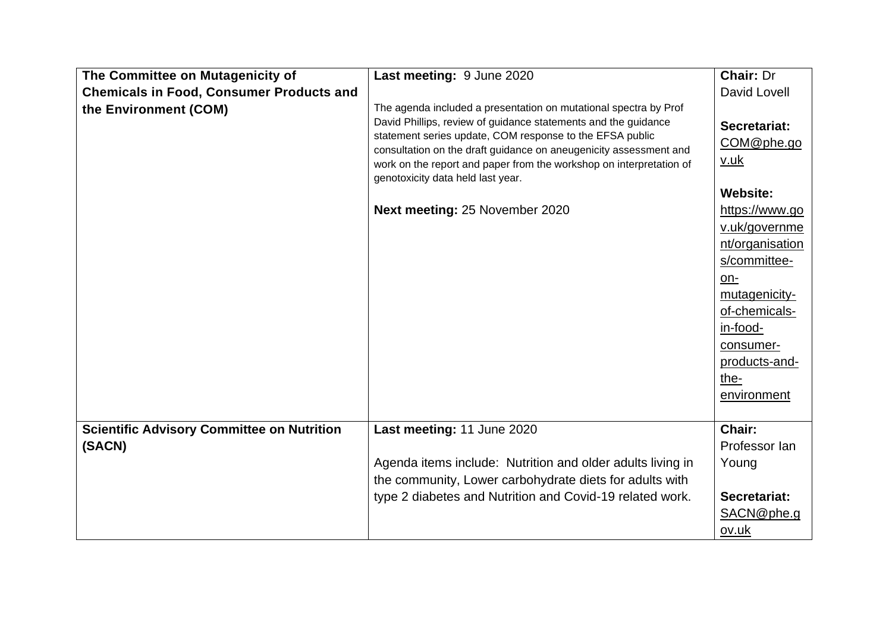| The Committee on Mutagenicity of                  | Last meeting: 9 June 2020                                                                                                                                                                                                                                                                                                                                                                                         | Chair: Dr                                                                                                                                                                                                                                    |
|---------------------------------------------------|-------------------------------------------------------------------------------------------------------------------------------------------------------------------------------------------------------------------------------------------------------------------------------------------------------------------------------------------------------------------------------------------------------------------|----------------------------------------------------------------------------------------------------------------------------------------------------------------------------------------------------------------------------------------------|
| <b>Chemicals in Food, Consumer Products and</b>   |                                                                                                                                                                                                                                                                                                                                                                                                                   | David Lovell                                                                                                                                                                                                                                 |
| the Environment (COM)                             | The agenda included a presentation on mutational spectra by Prof<br>David Phillips, review of guidance statements and the guidance<br>statement series update, COM response to the EFSA public<br>consultation on the draft guidance on aneugenicity assessment and<br>work on the report and paper from the workshop on interpretation of<br>genotoxicity data held last year.<br>Next meeting: 25 November 2020 | Secretariat:<br>COM@phe.go<br><u>v.uk</u><br><b>Website:</b><br>https://www.go<br>v.uk/governme<br>nt/organisation<br>s/committee-<br>on-<br>mutagenicity-<br>of-chemicals-<br>in-food-<br>consumer-<br>products-and-<br>the-<br>environment |
|                                                   |                                                                                                                                                                                                                                                                                                                                                                                                                   |                                                                                                                                                                                                                                              |
| <b>Scientific Advisory Committee on Nutrition</b> | Last meeting: 11 June 2020                                                                                                                                                                                                                                                                                                                                                                                        | Chair:<br>Professor lan                                                                                                                                                                                                                      |
| (SACN)                                            |                                                                                                                                                                                                                                                                                                                                                                                                                   |                                                                                                                                                                                                                                              |
|                                                   | Agenda items include: Nutrition and older adults living in                                                                                                                                                                                                                                                                                                                                                        | Young                                                                                                                                                                                                                                        |
|                                                   | the community, Lower carbohydrate diets for adults with                                                                                                                                                                                                                                                                                                                                                           |                                                                                                                                                                                                                                              |
|                                                   | type 2 diabetes and Nutrition and Covid-19 related work.                                                                                                                                                                                                                                                                                                                                                          | Secretariat:                                                                                                                                                                                                                                 |
|                                                   |                                                                                                                                                                                                                                                                                                                                                                                                                   | SACN@phe.g                                                                                                                                                                                                                                   |
|                                                   |                                                                                                                                                                                                                                                                                                                                                                                                                   | ov.uk                                                                                                                                                                                                                                        |